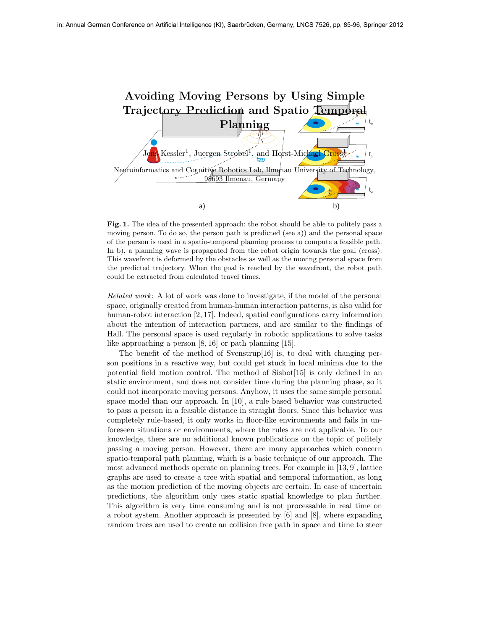

Fig. 1. The idea of the presented approach: the robot should be able to politely pass a moving person. To do so, the person path is predicted (see a)) and the personal space of the person is used in a spatio-temporal planning process to compute a feasible path. In b), a planning wave is propagated from the robot origin towards the goal (cross). This wavefront is deformed by the obstacles as well as the moving personal space from the predicted trajectory. When the goal is reached by the wavefront, the robot path could be extracted from calculated travel times.

Related work: A lot of work was done to investigate, if the model of the personal space, originally created from human-human interaction patterns, is also valid for human-robot interaction [2, 17]. Indeed, spatial configurations carry information about the intention of interaction partners, and are similar to the findings of Hall. The personal space is used regularly in robotic applications to solve tasks like approaching a person [8, 16] or path planning [15].

The benefit of the method of Svenstrup[16] is, to deal with changing person positions in a reactive way, but could get stuck in local minima due to the potential field motion control. The method of Sisbot[15] is only defined in an static environment, and does not consider time during the planning phase, so it could not incorporate moving persons. Anyhow, it uses the same simple personal space model than our approach. In [10], a rule based behavior was constructed to pass a person in a feasible distance in straight floors. Since this behavior was completely rule-based, it only works in floor-like environments and fails in unforeseen situations or environments, where the rules are not applicable. To our knowledge, there are no additional known publications on the topic of politely passing a moving person. However, there are many approaches which concern spatio-temporal path planning, which is a basic technique of our approach. The most advanced methods operate on planning trees. For example in [13, 9], lattice graphs are used to create a tree with spatial and temporal information, as long as the motion prediction of the moving objects are certain. In case of uncertain predictions, the algorithm only uses static spatial knowledge to plan further. This algorithm is very time consuming and is not processable in real time on a robot system. Another approach is presented by [6] and [8], where expanding random trees are used to create an collision free path in space and time to steer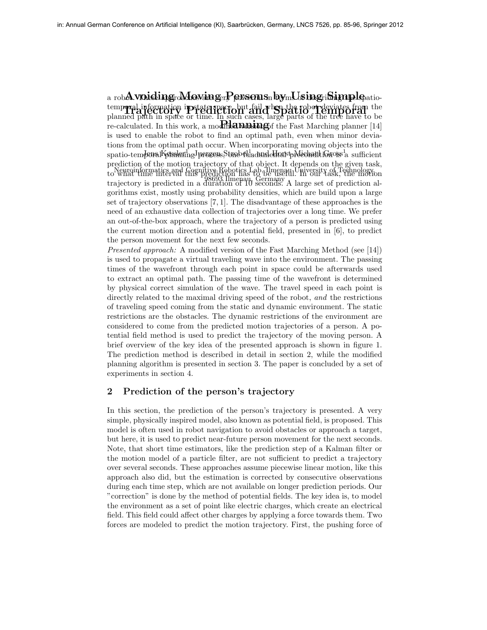a rob ${\bf A}$ v ${\bf D}$ iding r ${\bf M}$ oving r ${\bf P}$ ersons by m ${\bf U}$ sing ri ${\bf S}$ impleatiotemporal information in state space, but fail when the robot deviates from the temp**rial information ipstate space on** the and in spatio Temporal in the<br>planned path in space or time. I<u>n such cases</u>, large parts of the tree have to be re-calculated. In this work, a mo**dificant stag** of the Fast Marching planner [14] is used to enable the robot to find an optimal path, even when minor deviations from the optimal path occur. When incorporating moving objects into the  $_{\rm spatio\text{-}tem}$ Jens l $\rm \tilde{K}$ øsslern $_{\rm ng}^1$ yens ens. Strobel $_{\rm Ind}^1$ dan d $_{\rm eff}$ ldans t $_{\rm p}$ Michaelt i Gross $_{\rm a\text{-}sun}$ prediction of the motion trajectory of that object. It depends on the given task, to what time interval this prediction has to be useful. In our task, the motion trajectory is predicted in a duration of 10 seconds. A large set of prediction algorithms exist, mostly using probability densities, which are build upon a large set of trajectory observations [7, 1]. The disadvantage of these approaches is the need of an exhaustive data collection of trajectories over a long time. We prefer an out-of-the-box approach, where the trajectory of a person is predicted using the current motion direction and a potential field, presented in [6], to predict the person movement for the next few seconds. Neuroinformatics and Cognitive Robotics Lab, Ilmenau University of Technology, 98693 Ilmenau, Germany

Presented approach: A modified version of the Fast Marching Method (see [14]) is used to propagate a virtual traveling wave into the environment. The passing times of the wavefront through each point in space could be afterwards used to extract an optimal path. The passing time of the wavefront is determined by physical correct simulation of the wave. The travel speed in each point is directly related to the maximal driving speed of the robot, and the restrictions of traveling speed coming from the static and dynamic environment. The static restrictions are the obstacles. The dynamic restrictions of the environment are considered to come from the predicted motion trajectories of a person. A potential field method is used to predict the trajectory of the moving person. A brief overview of the key idea of the presented approach is shown in figure 1. The prediction method is described in detail in section 2, while the modified planning algorithm is presented in section 3. The paper is concluded by a set of experiments in section 4.

## 2 Prediction of the person's trajectory

In this section, the prediction of the person's trajectory is presented. A very simple, physically inspired model, also known as potential field, is proposed. This model is often used in robot navigation to avoid obstacles or approach a target, but here, it is used to predict near-future person movement for the next seconds. Note, that short time estimators, like the prediction step of a Kalman filter or the motion model of a particle filter, are not sufficient to predict a trajectory over several seconds. These approaches assume piecewise linear motion, like this approach also did, but the estimation is corrected by consecutive observations during each time step, which are not available on longer prediction periods. Our "correction" is done by the method of potential fields. The key idea is, to model the environment as a set of point like electric charges, which create an electrical field. This field could affect other charges by applying a force towards them. Two forces are modeled to predict the motion trajectory. First, the pushing force of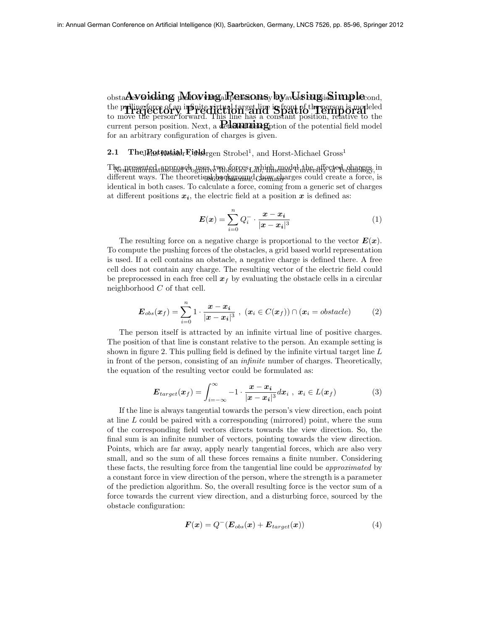$_{\rm obsta}$ Av $\bf{\dot{o}}$ iding  $_{\rm p}$ Moving $_{\rm a}$ I $_{\rm B}$ ers $\bf{o}$ ns $_{\rm y}$ by $_{\rm a}$ J $_{\rm d}$ sing $_{\rm i}$ Simple $_{\rm cond,}$ the pulling force of an infinite virtual target line in front of the person is modeled the properties of an uppredictual off search of the person is mailed<br>to move the person forward. This line has a constant position, relative to the current person position. Next, a **Letanning** ption of the potential field model for an arbitrary configuration of charges is given.

## 2.1 The Jost Russiandr Fightergen Strobel<sup>1</sup>, and Horst-Michael Gross<sup>1</sup>

 $\rm{The}$   $\rm{up}$  and  $\rm{up}$  and  $\rm{up}$  and  $\rm{up}$  and  $\rm{up}$  and  $\rm{up}$  and  $\rm{up}$  and  $\rm{up}$  and  $\rm{up}$  and  $\rm{up}$  and  $\rm{up}$  and  $\rm{up}$  and  $\rm{up}$  and  $\rm{up}$  and  $\rm{up}$  and  $\rm{up}$  and  $\rm{up}$  and  $\rm{up}$  a different ways. The theoretical background, chow as harges could create a force, is identical in both cases. To calculate a force, coming from a generic set of charges at different positions  $x_i$ , the electric field at a position x is defined as:

$$
E(x) = \sum_{i=0}^{n} Q_i^{-} \cdot \frac{x - x_i}{|x - x_i|^3}
$$
 (1)

The resulting force on a negative charge is proportional to the vector  $E(x)$ . To compute the pushing forces of the obstacles, a grid based world representation is used. If a cell contains an obstacle, a negative charge is defined there. A free cell does not contain any charge. The resulting vector of the electric field could be preprocessed in each free cell  $x_f$  by evaluating the obstacle cells in a circular neighborhood C of that cell.

$$
\boldsymbol{E}_{obs}(\boldsymbol{x}_f) = \sum_{i=0}^n 1 \cdot \frac{\boldsymbol{x} - \boldsymbol{x}_i}{|\boldsymbol{x} - \boldsymbol{x}_i|^3}, \ (\boldsymbol{x}_i \in C(\boldsymbol{x}_f)) \cap (\boldsymbol{x}_i = obstacle)
$$
(2)

The person itself is attracted by an infinite virtual line of positive charges. The position of that line is constant relative to the person. An example setting is shown in figure 2. This pulling field is defined by the infinite virtual target line L in front of the person, consisting of an infinite number of charges. Theoretically, the equation of the resulting vector could be formulated as:

$$
E_{target}(x_f) = \int_{i=-\infty}^{\infty} -1 \cdot \frac{x - x_i}{|x - x_i|^3} dx_i , \ x_i \in L(x_f)
$$
 (3)

If the line is always tangential towards the person's view direction, each point at line L could be paired with a corresponding (mirrored) point, where the sum of the corresponding field vectors directs towards the view direction. So, the final sum is an infinite number of vectors, pointing towards the view direction. Points, which are far away, apply nearly tangential forces, which are also very small, and so the sum of all these forces remains a finite number. Considering these facts, the resulting force from the tangential line could be approximated by a constant force in view direction of the person, where the strength is a parameter of the prediction algorithm. So, the overall resulting force is the vector sum of a force towards the current view direction, and a disturbing force, sourced by the obstacle configuration:

$$
F(x) = Q^{-}(E_{obs}(x) + E_{target}(x))
$$
\n(4)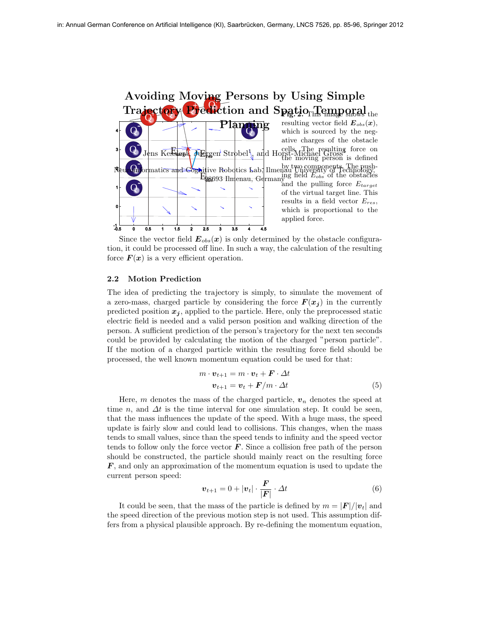

Since the vector field  $E_{obs}(x)$  is only determined by the obstacle configuration, it could be processed off line. In such a way, the calculation of the resulting force  $F(x)$  is a very efficient operation.

### 2.2 Motion Prediction

The idea of predicting the trajectory is simply, to simulate the movement of a zero-mass, charged particle by considering the force  $F(x_i)$  in the currently predicted position  $x_j$ , applied to the particle. Here, only the preprocessed static electric field is needed and a valid person position and walking direction of the person. A sufficient prediction of the person's trajectory for the next ten seconds could be provided by calculating the motion of the charged "person particle". If the motion of a charged particle within the resulting force field should be processed, the well known momentum equation could be used for that:

$$
m \cdot \mathbf{v}_{t+1} = m \cdot \mathbf{v}_t + \mathbf{F} \cdot \Delta t
$$
  

$$
\mathbf{v}_{t+1} = \mathbf{v}_t + \mathbf{F}/m \cdot \Delta t
$$
 (5)

Here,  $m$  denotes the mass of the charged particle,  $v_n$  denotes the speed at time n, and  $\Delta t$  is the time interval for one simulation step. It could be seen, that the mass influences the update of the speed. With a huge mass, the speed update is fairly slow and could lead to collisions. This changes, when the mass tends to small values, since than the speed tends to infinity and the speed vector tends to follow only the force vector  $\boldsymbol{F}$ . Since a collision free path of the person should be constructed, the particle should mainly react on the resulting force F, and only an approximation of the momentum equation is used to update the current person speed:

$$
\boldsymbol{v}_{t+1} = 0 + |\boldsymbol{v}_t| \cdot \frac{\boldsymbol{F}}{|\boldsymbol{F}|} \cdot \Delta t \tag{6}
$$

It could be seen, that the mass of the particle is defined by  $m = |F|/|v_t|$  and the speed direction of the previous motion step is not used. This assumption differs from a physical plausible approach. By re-defining the momentum equation,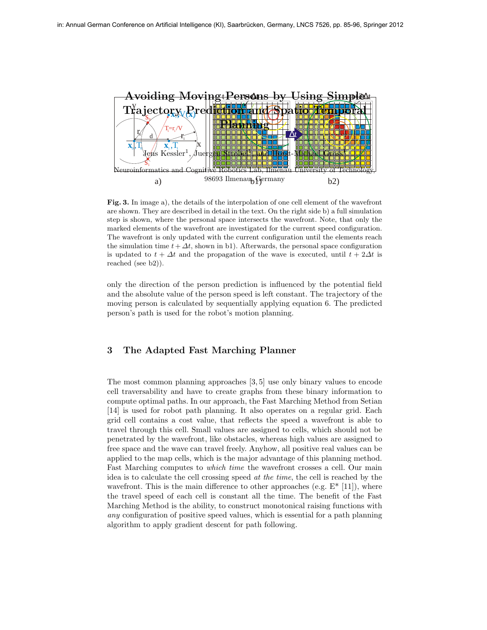

Fig. 3. In image a), the details of the interpolation of one cell element of the wavefront are shown. They are described in detail in the text. On the right side b) a full simulation step is shown, where the personal space intersects the wavefront. Note, that only the marked elements of the wavefront are investigated for the current speed configuration. The wavefront is only updated with the current configuration until the elements reach the simulation time  $t + \Delta t$ , shown in b1). Afterwards, the personal space configuration is updated to  $t + \Delta t$  and the propagation of the wave is executed, until  $t + 2\Delta t$  is reached (see b2)).

only the direction of the person prediction is influenced by the potential field and the absolute value of the person speed is left constant. The trajectory of the moving person is calculated by sequentially applying equation 6. The predicted person's path is used for the robot's motion planning.

## 3 The Adapted Fast Marching Planner

The most common planning approaches [3, 5] use only binary values to encode cell traversability and have to create graphs from these binary information to compute optimal paths. In our approach, the Fast Marching Method from Setian [14] is used for robot path planning. It also operates on a regular grid. Each grid cell contains a cost value, that reflects the speed a wavefront is able to travel through this cell. Small values are assigned to cells, which should not be penetrated by the wavefront, like obstacles, whereas high values are assigned to free space and the wave can travel freely. Anyhow, all positive real values can be applied to the map cells, which is the major advantage of this planning method. Fast Marching computes to which time the wavefront crosses a cell. Our main idea is to calculate the cell crossing speed at the time, the cell is reached by the wavefront. This is the main difference to other approaches (e.g.  $E^*$  [11]), where the travel speed of each cell is constant all the time. The benefit of the Fast Marching Method is the ability, to construct monotonical raising functions with any configuration of positive speed values, which is essential for a path planning algorithm to apply gradient descent for path following.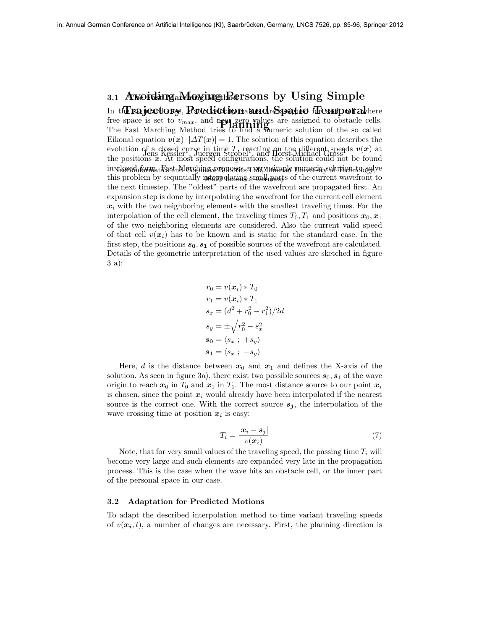# 3.1 Avoiding Aloying Bersons by Using Simple

In th $\bf{Ts}$ ajectory,  $\bf{R}$ rediction and  $\bf{s}$ patio f $\bf{F}$ empor $\bf{a}$ there free space is set to  $v_{max}$ , and near zero values are assigned to obstacle cells. The Fast Marching Method tries to find a numeric solution of the so called<br>The Fast Marching Method tries to find a numeric solution of the so called Eikonal equation  $v(x) \cdot |\Delta T(x)| = 1$ . The solution of this equation describes the evolution of a closed curve in time T, reacting on the different speeds  $v(x)$  at Evolution of a closed curve in time,  $I$ , reacting an time dimereum, speeds  $v(x)$  at the positions  $x$ . At most speed configurations, the solution could not be found  $\mathrm{in}$ rdgsed format $E$ sst $\mathrm{a}$ Mercghing proposes $\mathrm{s}$ a xerynsienale  $\mathrm{u}$ mersitysohution to solve this problem by sequntially interpolating small parts of the current wavefront to the next timestep. The "oldest" parts of the wavefront are propagated first. An expansion step is done by interpolating the wavefront for the current cell element  $x_i$  with the two neighboring elements with the smallest traveling times. For the interpolation of the cell element, the traveling times  $T_0, T_1$  and positions  $x_0, x_1$ of the two neighboring elements are considered. Also the current valid speed of that cell  $v(x_i)$  has to be known and is static for the standard case. In the first step, the positions  $s_0, s_1$  of possible sources of the wavefront are calculated. Details of the geometric interpretation of the used values are sketched in figure 3 a):

$$
r_0 = v(\mathbf{x}_i) * T_0
$$
  
\n
$$
r_1 = v(\mathbf{x}_i) * T_1
$$
  
\n
$$
s_x = (d^2 + r_0^2 - r_1^2)/2d
$$
  
\n
$$
s_y = \pm \sqrt{r_0^2 - s_x^2}
$$
  
\n
$$
\mathbf{s_0} = \langle s_x ; +s_y \rangle
$$
  
\n
$$
\mathbf{s_1} = \langle s_x ; -s_y \rangle
$$

Here, d is the distance between  $x_0$  and  $x_1$  and defines the X-axis of the solution. As seen in figure 3a), there exist two possible sources  $s_0, s_1$  of the wave origin to reach  $x_0$  in  $T_0$  and  $x_1$  in  $T_1$ . The most distance source to our point  $x_i$ is chosen, since the point  $x_i$  would already have been interpolated if the nearest source is the correct one. With the correct source  $s_j$ , the interpolation of the wave crossing time at position  $x_i$  is easy:

$$
T_i = \frac{|\boldsymbol{x}_i - \boldsymbol{s}_j|}{v(\boldsymbol{x}_i)}\tag{7}
$$

Note, that for very small values of the traveling speed, the passing time  $T_i$  will become very large and such elements are expanded very late in the propagation process. This is the case when the wave hits an obstacle cell, or the inner part of the personal space in our case.

#### 3.2 Adaptation for Predicted Motions

To adapt the described interpolation method to time variant traveling speeds of  $v(x_i, t)$ , a number of changes are necessary. First, the planning direction is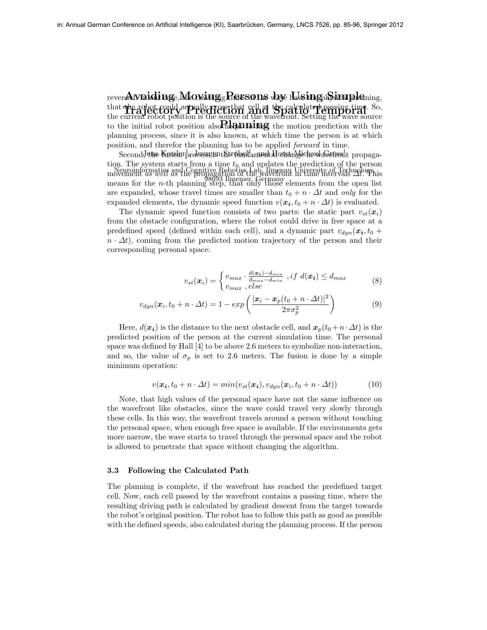rever**:Avniding**e,**Moving** $_{\rm g}$ **Rersons day** I**lising Simple**ning, that the robot could actually prose that cell at the calculated passing time. So, that **The cripect could argually direct to the source** of the **cripect position of the current robot position** is the source of the wavefront. Setting the wave source to the initial robot position also**Reprise the motion** prediction with the planning process, since it is also known, at which time the person is at which position, and therefor the planning has to be applied forward in time.

 $\rm SecondJ$ che Kessler $\rm h$ rolussetsu $\rm t$ herchel $\rm h$ anent $\rm H$ cus $\rm t$ nglichael $\rm d$ enes $\rm h$ t propagation. The system starts from a time  $t_0$  and updates the prediction of the person movement *as well as* the propagation of the wavefront in time intervals ∆t. This means for the *n*-th planning step, that only those elements from the open list are expanded, whose travel times are smaller than  $t_0 + n \cdot \Delta t$  and only for the expanded elements, the dynamic speed function  $v(x_i, t_0 + n \cdot \Delta t)$  is evaluated. Neuroinformatics and Cognitive Robotics Lab, Ilmenau University of Technology, 98693 Ilmenau, Germany

The dynamic speed function consists of two parts: the static part  $v_{st}(x_i)$ from the obstacle configuration, where the robot could drive in free space at a predefined speed (defined within each cell), and a dynamic part  $v_{dyn}(x_i, t_0 +$  $n \cdot \Delta t$ , coming from the predicted motion trajectory of the person and their corresponding personal space:

$$
v_{st}(\boldsymbol{x}_i) = \begin{cases} v_{max} \cdot \frac{d(\boldsymbol{x}_i) - d_{min}}{d_{max} - d_{min}} , if \ d(\boldsymbol{x_i}) \le d_{max} \\ v_{max} , else \end{cases} \tag{8}
$$

$$
v_{dyn}(\boldsymbol{x}_i, t_0 + n \cdot \Delta t) = 1 - exp\left(\frac{|\boldsymbol{x}_i - \boldsymbol{x}_p(t_0 + n \cdot \Delta t)|^2}{2\pi\sigma_p^2}\right)
$$
(9)

Here,  $d(x_i)$  is the distance to the next obstacle cell, and  $x_p(t_0 + n \cdot \Delta t)$  is the predicted position of the person at the current simulation time. The personal space was defined by Hall [4] to be above 2.6 meters to symbolize non-interaction, and so, the value of  $\sigma_p$  is set to 2.6 meters. The fusion is done by a simple minimum operation:

$$
v(\mathbf{x_i}, t_0 + n \cdot \Delta t) = min(v_{st}(\mathbf{x_i}), v_{dyn}(\mathbf{x_i}, t_0 + n \cdot \Delta t))
$$
(10)

Note, that high values of the personal space have not the same influence on the wavefront like obstacles, since the wave could travel very slowly through these cells. In this way, the wavefront travels around a person without touching the personal space, when enough free space is available. If the environments gets more narrow, the wave starts to travel through the personal space and the robot is allowed to penetrate that space without changing the algorithm.

### 3.3 Following the Calculated Path

The planning is complete, if the wavefront has reached the predefined target cell. Now, each cell passed by the wavefront contains a passing time, where the resulting driving path is calculated by gradient descent from the target towards the robot's original position. The robot has to follow this path as good as possible with the defined speeds, also calculated during the planning process. If the person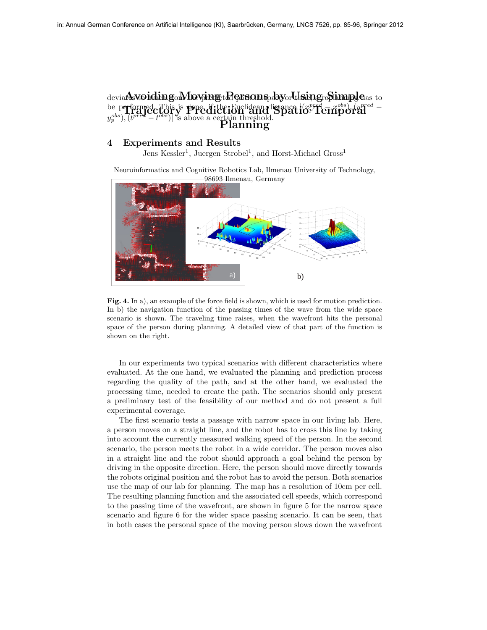## devia**AsvoidingoMoving tRersons by Using Simple**as to be performed. This is pree if the Euclidean distance  $\frac{1}{x^p}$  ( $x^{\text{pred}}$   $\frac{1}{x^p}$  on  $\frac{1}{x^p}$ ) be performed  $\mathcal{L}^{\text{bis}}_{(p^{\text{pos}}), (t^{\text{pred}} - t^{\text{obs}})}$  is above a certain threshold. n threshold

## 4 Experiments and Results

Jens Kessler<sup>1</sup>, Juergen Strobel<sup>1</sup>, and Horst-Michael Gross<sup>1</sup>

Neuroinformatics and Cognitive Robotics Lab, Ilmenau University of Technology, 98693 Ilmenau, Germany



Fig. 4. In a), an example of the force field is shown, which is used for motion prediction. In b) the navigation function of the passing times of the wave from the wide space scenario is shown. The traveling time raises, when the wavefront hits the personal space of the person during planning. A detailed view of that part of the function is shown on the right.

In our experiments two typical scenarios with different characteristics where evaluated. At the one hand, we evaluated the planning and prediction process regarding the quality of the path, and at the other hand, we evaluated the processing time, needed to create the path. The scenarios should only present a preliminary test of the feasibility of our method and do not present a full experimental coverage.

The first scenario tests a passage with narrow space in our living lab. Here, a person moves on a straight line, and the robot has to cross this line by taking into account the currently measured walking speed of the person. In the second scenario, the person meets the robot in a wide corridor. The person moves also in a straight line and the robot should approach a goal behind the person by driving in the opposite direction. Here, the person should move directly towards the robots original position and the robot has to avoid the person. Both scenarios use the map of our lab for planning. The map has a resolution of 10cm per cell. The resulting planning function and the associated cell speeds, which correspond to the passing time of the wavefront, are shown in figure 5 for the narrow space scenario and figure 6 for the wider space passing scenario. It can be seen, that in both cases the personal space of the moving person slows down the wavefront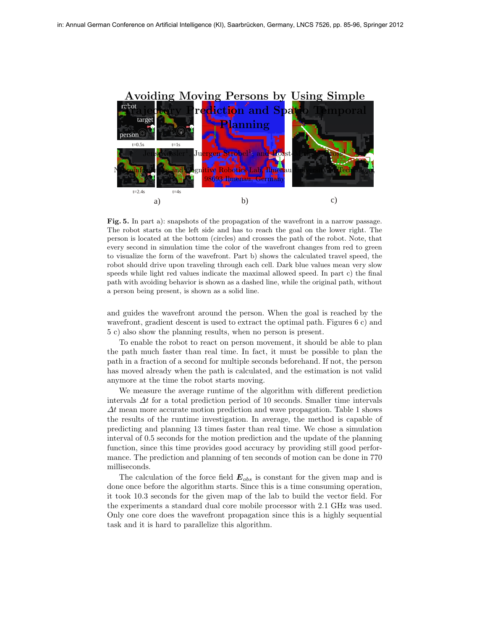

Fig. 5. In part a): snapshots of the propagation of the wavefront in a narrow passage. The robot starts on the left side and has to reach the goal on the lower right. The person is located at the bottom (circles) and crosses the path of the robot. Note, that every second in simulation time the color of the wavefront changes from red to green to visualize the form of the wavefront. Part b) shows the calculated travel speed, the robot should drive upon traveling through each cell. Dark blue values mean very slow speeds while light red values indicate the maximal allowed speed. In part c) the final path with avoiding behavior is shown as a dashed line, while the original path, without a person being present, is shown as a solid line.

and guides the wavefront around the person. When the goal is reached by the wavefront, gradient descent is used to extract the optimal path. Figures 6 c) and 5 c) also show the planning results, when no person is present.

To enable the robot to react on person movement, it should be able to plan the path much faster than real time. In fact, it must be possible to plan the path in a fraction of a second for multiple seconds beforehand. If not, the person has moved already when the path is calculated, and the estimation is not valid anymore at the time the robot starts moving.

We measure the average runtime of the algorithm with different prediction intervals  $\Delta t$  for a total prediction period of 10 seconds. Smaller time intervals  $\Delta t$  mean more accurate motion prediction and wave propagation. Table 1 shows the results of the runtime investigation. In average, the method is capable of predicting and planning 13 times faster than real time. We chose a simulation interval of 0.5 seconds for the motion prediction and the update of the planning function, since this time provides good accuracy by providing still good performance. The prediction and planning of ten seconds of motion can be done in 770 milliseconds.

The calculation of the force field  $E_{obs}$  is constant for the given map and is done once before the algorithm starts. Since this is a time consuming operation, it took 10.3 seconds for the given map of the lab to build the vector field. For the experiments a standard dual core mobile processor with 2.1 GHz was used. Only one core does the wavefront propagation since this is a highly sequential task and it is hard to parallelize this algorithm.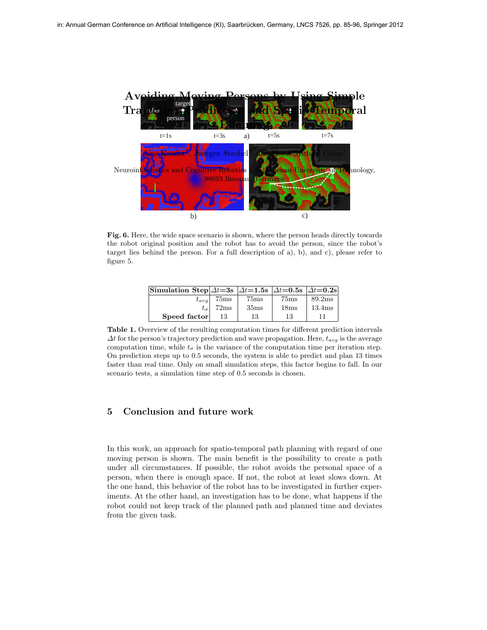

Fig. 6. Here, the wide space scenario is shown, where the person heads directly towards the robot original position and the robot has to avoid the person, since the robot's target lies behind the person. For a full description of a), b), and c), please refer to figure 5.

| Simulation Step $\Delta t = 3s$ $\Delta t = 1.5s$ $\Delta t = 0.5s$ $\Delta t = 0.2s$ |      |                  |      |                    |
|---------------------------------------------------------------------------------------|------|------------------|------|--------------------|
| $t_{ava}$                                                                             | 75ms | 75ms             | 75ms | 89.2 <sub>ms</sub> |
| $t_{\sigma}$                                                                          | 72ms | 35 <sub>ms</sub> | 18ms | 13.4 <sub>ms</sub> |
| Speed factor                                                                          | 13   | 13               | 13   |                    |

Table 1. Overview of the resulting computation times for different prediction intervals  $\Delta t$  for the person's trajectory prediction and wave propagation. Here,  $t_{avg}$  is the average computation time, while  $t_{\sigma}$  is the variance of the computation time per iteration step. On prediction steps up to 0.5 seconds, the system is able to predict and plan 13 times faster than real time. Only on small simulation steps, this factor begins to fall. In our scenario tests, a simulation time step of 0.5 seconds is chosen.

## 5 Conclusion and future work

In this work, an approach for spatio-temporal path planning with regard of one moving person is shown. The main benefit is the possibility to create a path under all circumstances. If possible, the robot avoids the personal space of a person, when there is enough space. If not, the robot at least slows down. At the one hand, this behavior of the robot has to be investigated in further experiments. At the other hand, an investigation has to be done, what happens if the robot could not keep track of the planned path and planned time and deviates from the given task.